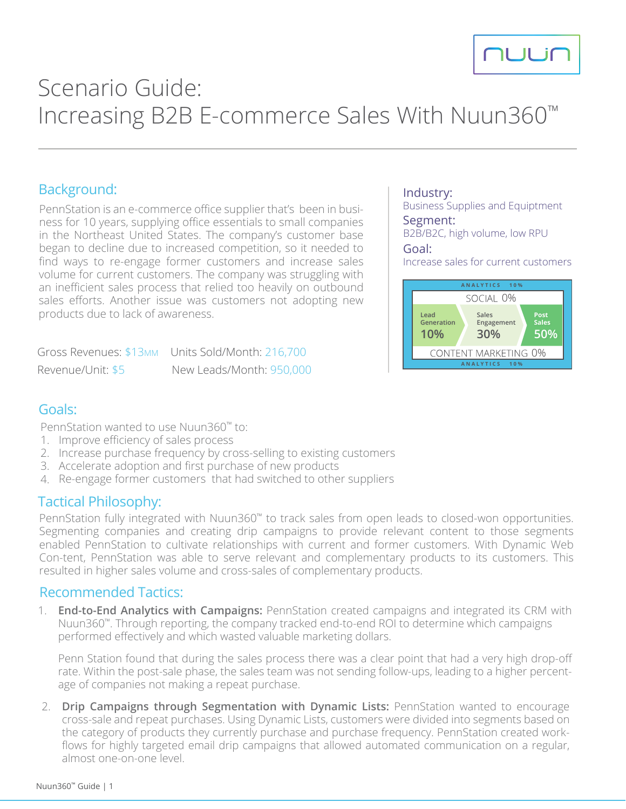

# Scenario Guide: Increasing B2B E-commerce Sales With Nuun360™

## Background:

PennStation is an e-commerce office supplier that's been in business for 10 years, supplying office essentials to small companies in the Northeast United States. The company's customer base began to decline due to increased competition, so it needed to find ways to re-engage former customers and increase sales volume for current customers. The company was struggling with an inefficient sales process that relied too heavily on outbound sales efforts. Another issue was customers not adopting new products due to lack of awareness.

Gross Revenues: \$13MM Units Sold/Month: 216,700 Revenue/Unit: \$5 New Leads/Month: 950,000

#### Industry:

Business Supplies and Equiptment Segment:

B2B/B2C, high volume, low RPU

#### Goal:

Increase sales for current customers



## Goals:

PennStation wanted to use Nuun360™ to:

- 1. Improve efficiency of sales process
- 2. Increase purchase frequency by cross-selling to existing customers
- 3. Accelerate adoption and first purchase of new products
- 4. Re-engage former customers that had switched to other suppliers

### Tactical Philosophy:

PennStation fully integrated with Nuun360™ to track sales from open leads to closed-won opportunities. Segmenting companies and creating drip campaigns to provide relevant content to those segments enabled PennStation to cultivate relationships with current and former customers. With Dynamic Web Con-tent, PennStation was able to serve relevant and complementary products to its customers. This resulted in higher sales volume and cross-sales of complementary products.

#### Recommended Tactics:

1. **End-to-End Analytics with Campaigns:** PennStation created campaigns and integrated its CRM with Nuun360™. Through reporting, the company tracked end-to-end ROI to determine which campaigns performed effectively and which wasted valuable marketing dollars.

Penn Station found that during the sales process there was a clear point that had a very high drop-off rate. Within the post-sale phase, the sales team was not sending follow-ups, leading to a higher percentage of companies not making a repeat purchase.

2. **Drip Campaigns through Segmentation with Dynamic Lists:** PennStation wanted to encourage cross-sale and repeat purchases. Using Dynamic Lists, customers were divided into segments based on the category of products they currently purchase and purchase frequency. PennStation created workflows for highly targeted email drip campaigns that allowed automated communication on a regular, almost one-on-one level.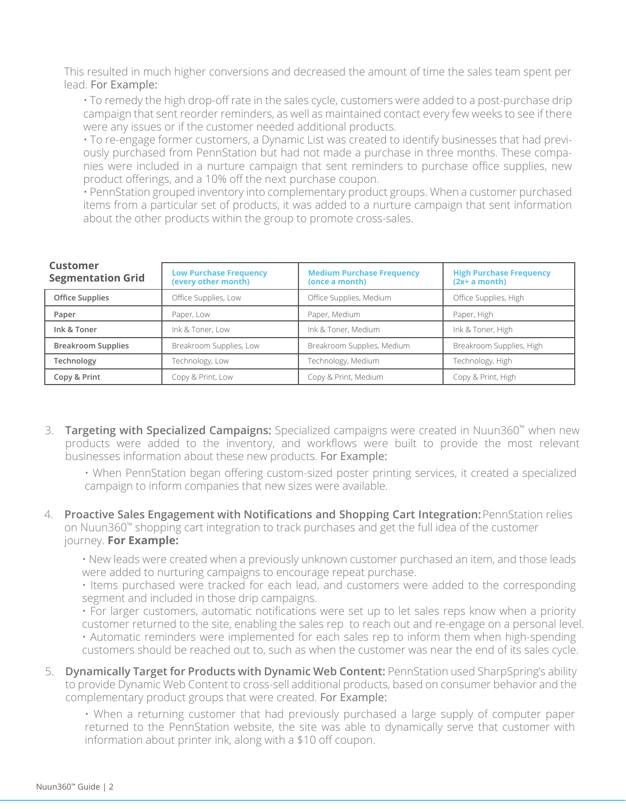This resulted in much higher conversions and decreased the amount of time the sales team spent per lead. For Example:

• To remedy the high drop-off rate in the sales cycle, customers were added to a post-purchase drip campaign that sent reorder reminders, as well as maintained contact every few weeks to see if there were any issues or if the customer needed additional products.

• To re-engage former customers, a Dynamic List was created to identify businesses that had previously purchased from PennStation but had not made a purchase in three months. These companies were included in a nurture campaign that sent reminders to purchase office supplies, new product offerings, and a 10% off the next purchase coupon.

• PennStation grouped inventory into complementary product groups. When a customer purchased items from a particular set of products, it was added to a nurture campaign that sent information about the other products within the group to promote cross-sales.

| Customer<br><b>Segmentation Grid</b> | <b>Low Purchase Frequency</b><br>(every other month) | <b>Medium Purchase Frequency</b><br>(once a month) | <b>High Purchase Frequency</b><br>(2x+ a month) |  |
|--------------------------------------|------------------------------------------------------|----------------------------------------------------|-------------------------------------------------|--|
| Office Supplies                      | Office Supplies, Low                                 | Office Supplies, Medium                            | Office Supplies, High                           |  |
| Paper                                | Paper, Low                                           | Paper, Medium                                      | Paper, High                                     |  |
| Ink & Toner                          | Ink & Toner, Low                                     | Ink & Toner, Medium                                | Ink & Toner, High                               |  |
| <b>Breakroom Supplies</b>            | Breakroom Supplies, Low                              | Breakroom Supplies, Medium                         | Breakroom Supplies, High                        |  |
| Technology                           | Technology, Low                                      | Technology, Medium<br>Technology, High             |                                                 |  |
| Copy & Print                         | Copy & Print, Low                                    | Copy & Print, Medium<br>Copy & Print, High         |                                                 |  |

- 3. **Targeting with Specialized Campaigns:** Specialized campaigns were created in Nuun360™ when new products were added to the inventory, and workflows were built to provide the most relevant businesses information about these new products. For Example:
	- When PennStation began offering custom-sized poster printing services, it created a specialized campaign to inform companies that new sizes were available.
- 4. **Proactive Sales Engagement with Notifications and Shopping Cart Integration:** PennStation relies on Nuun360™ shopping cart integration to track purchases and get the full idea of the customer journey. **For Example:**

• New leads were created when a previously unknown customer purchased an item, and those leads were added to nurturing campaigns to encourage repeat purchase.

• Items purchased were tracked for each lead, and customers were added to the corresponding segment and included in those drip campaigns.

• For larger customers, automatic notifications were set up to let sales reps know when a priority customer returned to the site, enabling the sales rep to reach out and re-engage on a personal level. • Automatic reminders were implemented for each sales rep to inform them when high-spending customers should be reached out to, such as when the customer was near the end of its sales cycle.

5. **Dynamically Target for Products with Dynamic Web Content:** PennStation used SharpSpring's ability to provide Dynamic Web Content to cross-sell additional products, based on consumer behavior and the complementary product groups that were created. For Example:

• When a returning customer that had previously purchased a large supply of computer paper returned to the PennStation website, the site was able to dynamically serve that customer with information about printer ink, along with a \$10 off coupon.